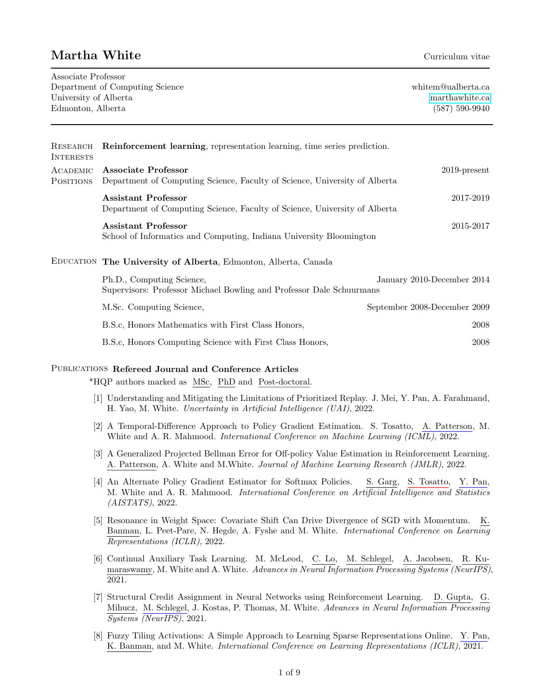## **Martha White** Curriculum vitae

| Associate Professor             |                    |
|---------------------------------|--------------------|
| Department of Computing Science | whitem@ualberta.ca |
| University of Alberta           | marthawhite.ca     |
| Edmonton. Alberta               | $(587)$ 590-9940   |
|                                 |                    |

| RESEARCH<br><b>INTERESTS</b> | <b>Reinforcement learning</b> , representation learning, time series prediction.                         |                              |
|------------------------------|----------------------------------------------------------------------------------------------------------|------------------------------|
| ACADEMIC<br><b>POSITIONS</b> | <b>Associate Professor</b><br>Department of Computing Science, Faculty of Science, University of Alberta | $2019$ -present              |
|                              | <b>Assistant Professor</b><br>Department of Computing Science, Faculty of Science, University of Alberta | 2017-2019                    |
|                              | <b>Assistant Professor</b><br>School of Informatics and Computing, Indiana University Bloomington        | 2015-2017                    |
| EDUCATION                    | The University of Alberta, Edmonton, Alberta, Canada                                                     |                              |
|                              | Ph.D., Computing Science,<br>Supervisors: Professor Michael Bowling and Professor Dale Schuurmans        | January 2010-December 2014   |
|                              | M.Sc. Computing Science,                                                                                 | September 2008-December 2009 |
|                              | B.S.c. Honors Mathematics with First Class Honors,                                                       | 2008                         |
|                              | B.S.c. Honors Computing Science with First Class Honors,                                                 | 2008                         |

## PUBLICATIONS Refereed Journal and Conference Articles

\*HQP authors marked as MSc, PhD and Post-doctoral.

- [1] Understanding and Mitigating the Limitations of Prioritized Replay. J. Mei, Y. Pan, A. Farahmand, H. Yao, M. White. Uncertainty in Artificial Intelligence (UAI), 2022.
- [2] A Temporal-Difference Approach to Policy Gradient Estimation. S. Tosatto, A. Patterson, M. White and A. R. Mahmood. *International Conference on Machine Learning (ICML)*, 2022.
- [3] A Generalized Projected Bellman Error for Off-policy Value Estimation in Reinforcement Learning. A. Patterson, A. White and M.White. Journal of Machine Learning Research (JMLR), 2022.
- [4] An Alternate Policy Gradient Estimator for Softmax Policies. S. Garg, S. Tosatto, Y. Pan, M. White and A. R. Mahmood. International Conference on Artificial Intelligence and Statistics (AISTATS), 2022.
- [5] Resonance in Weight Space: Covariate Shift Can Drive Divergence of SGD with Momentum. K. Banman, L. Peet-Pare, N. Hegde, A. Fyshe and M. White. International Conference on Learning Representations (ICLR), 2022.
- [6] Continual Auxiliary Task Learning. M. McLeod, C. Lo, M. Schlegel, A. Jacobsen, R. Kumaraswamy, M. White and A. White. Advances in Neural Information Processing Systems (NeurIPS), 2021.
- [7] Structural Credit Assignment in Neural Networks using Reinforcement Learning. D. Gupta, G. Mihucz, M. Schlegel, J. Kostas, P. Thomas, M. White. Advances in Neural Information Processing Systems (NeurIPS), 2021.
- [8] Fuzzy Tiling Activations: A Simple Approach to Learning Sparse Representations Online. Y. Pan, K. Banman, and M. White. International Conference on Learning Representations (ICLR), 2021.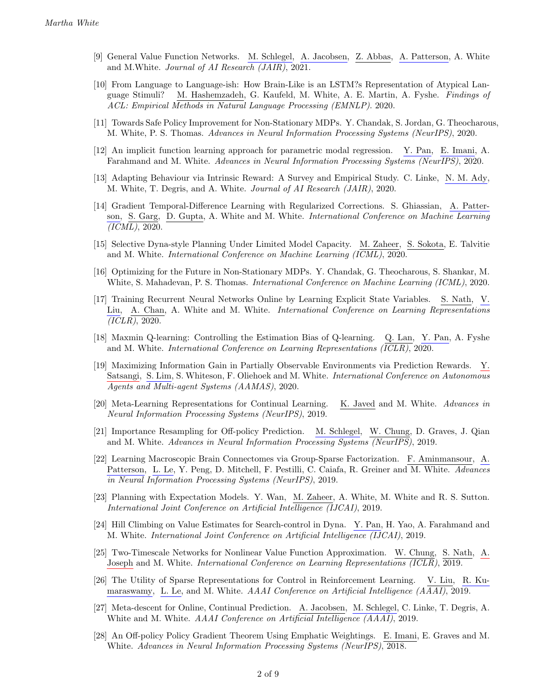- [9] General Value Function Networks. M. Schlegel, A. Jacobsen, Z. Abbas, A. Patterson, A. White and M.White. Journal of AI Research (JAIR), 2021.
- [10] From Language to Language-ish: How Brain-Like is an LSTM?s Representation of Atypical Language Stimuli? M. Hashemzadeh, G. Kaufeld, M. White, A. E. Martin, A. Fyshe. Findings of ACL: Empirical Methods in Natural Language Processing (EMNLP). 2020.
- [11] Towards Safe Policy Improvement for Non-Stationary MDPs. Y. Chandak, S. Jordan, G. Theocharous, M. White, P. S. Thomas. Advances in Neural Information Processing Systems (NeurIPS), 2020.
- [12] An implicit function learning approach for parametric modal regression. Y. Pan, E. Imani, A. Farahmand and M. White. Advances in Neural Information Processing Systems (NeurIPS), 2020.
- [13] Adapting Behaviour via Intrinsic Reward: A Survey and Empirical Study. C. Linke, N. M. Ady, M. White, T. Degris, and A. White. Journal of AI Research (JAIR), 2020.
- [14] Gradient Temporal-Difference Learning with Regularized Corrections. S. Ghiassian, A. Patterson, S. Garg, D. Gupta, A. White and M. White. International Conference on Machine Learning (ICML), 2020.
- [15] Selective Dyna-style Planning Under Limited Model Capacity. M. Zaheer, S. Sokota, E. Talvitie and M. White. International Conference on Machine Learning (ICML), 2020.
- [16] Optimizing for the Future in Non-Stationary MDPs. Y. Chandak, G. Theocharous, S. Shankar, M. White, S. Mahadevan, P. S. Thomas. *International Conference on Machine Learning (ICML)*, 2020.
- [17] Training Recurrent Neural Networks Online by Learning Explicit State Variables. S. Nath, V. Liu, A. Chan, A. White and M. White. International Conference on Learning Representations  $\overline{(ICLR)}$ , 2020.
- [18] Maxmin Q-learning: Controlling the Estimation Bias of Q-learning. Q. Lan, Y. Pan, A. Fyshe and M. White. International Conference on Learning Representations (ICLR), 2020.
- [19] Maximizing Information Gain in Partially Observable Environments via Prediction Rewards. Y. Satsangi, S. Lim, S. Whiteson, F. Oliehoek and M. White. International Conference on Autonomous Agents and Multi-agent Systems (AAMAS), 2020.
- [20] Meta-Learning Representations for Continual Learning. K. Javed and M. White. Advances in Neural Information Processing Systems (NeurIPS), 2019.
- [21] Importance Resampling for Off-policy Prediction. M. Schlegel, W. Chung, D. Graves, J. Qian and M. White. Advances in Neural Information Processing Systems (NeurIPS), 2019.
- [22] Learning Macroscopic Brain Connectomes via Group-Sparse Factorization. F. Aminmansour, A. Patterson, L. Le, Y. Peng, D. Mitchell, F. Pestilli, C. Caiafa, R. Greiner and M. White. Advances in Neural Information Processing Systems (NeurIPS), 2019.
- [23] Planning with Expectation Models. Y. Wan, M. Zaheer, A. White, M. White and R. S. Sutton. International Joint Conference on Artificial Intelligence (IJCAI), 2019.
- [24] Hill Climbing on Value Estimates for Search-control in Dyna. Y. Pan, H. Yao, A. Farahmand and M. White. International Joint Conference on Artificial Intelligence (IJCAI), 2019.
- [25] Two-Timescale Networks for Nonlinear Value Function Approximation. W. Chung, S. Nath, A. Joseph and M. White. International Conference on Learning Representations (ICLR), 2019.
- [26] The Utility of Sparse Representations for Control in Reinforcement Learning. V. Liu, R. Kumaraswamy, L. Le, and M. White. AAAI Conference on Artificial Intelligence (AAAI), 2019.
- [27] Meta-descent for Online, Continual Prediction. A. Jacobsen, M. Schlegel, C. Linke, T. Degris, A. White and M. White. AAAI Conference on Artificial Intelligence (AAAI), 2019.
- [28] An Off-policy Policy Gradient Theorem Using Emphatic Weightings. E. Imani, E. Graves and M. White. Advances in Neural Information Processing Systems (NeurIPS), 2018.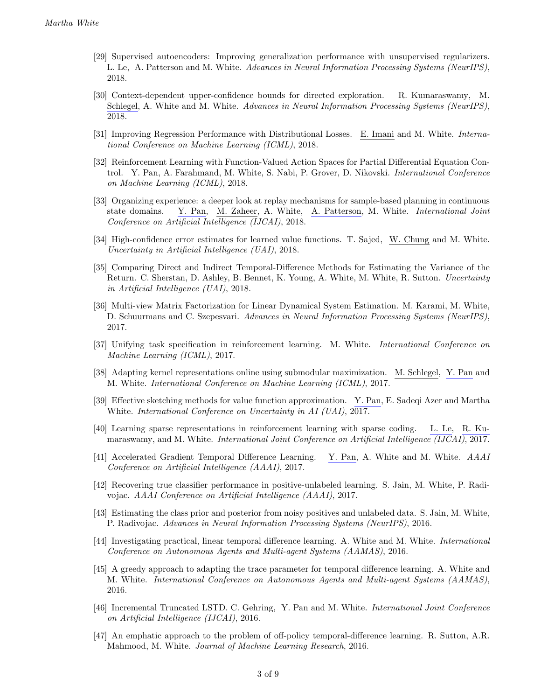- [29] Supervised autoencoders: Improving generalization performance with unsupervised regularizers. L. Le, A. Patterson and M. White. Advances in Neural Information Processing Systems (NeurIPS), 2018.
- [30] Context-dependent upper-confidence bounds for directed exploration. R. Kumaraswamy, M. Schlegel, A. White and M. White. Advances in Neural Information Processing Systems (NeurIPS), 2018.
- [31] Improving Regression Performance with Distributional Losses. E. Imani and M. White. International Conference on Machine Learning (ICML), 2018.
- [32] Reinforcement Learning with Function-Valued Action Spaces for Partial Differential Equation Control. Y. Pan, A. Farahmand, M. White, S. Nabi, P. Grover, D. Nikovski. International Conference on Machine Learning (ICML), 2018.
- [33] Organizing experience: a deeper look at replay mechanisms for sample-based planning in continuous state domains. Y. Pan, M. Zaheer, A. White, A. Patterson, M. White. *International Joint* Conference on Artificial Intelligence (IJCAI), 2018.
- [34] High-confidence error estimates for learned value functions. T. Sajed, W. Chung and M. White. Uncertainty in Artificial Intelligence (UAI), 2018.
- [35] Comparing Direct and Indirect Temporal-Difference Methods for Estimating the Variance of the Return. C. Sherstan, D. Ashley, B. Bennet, K. Young, A. White, M. White, R. Sutton. Uncertainty in Artificial Intelligence (UAI), 2018.
- [36] Multi-view Matrix Factorization for Linear Dynamical System Estimation. M. Karami, M. White, D. Schuurmans and C. Szepesvari. Advances in Neural Information Processing Systems (NeurIPS), 2017.
- [37] Unifying task specification in reinforcement learning. M. White. International Conference on Machine Learning (ICML), 2017.
- [38] Adapting kernel representations online using submodular maximization. M. Schlegel, Y. Pan and M. White. International Conference on Machine Learning (ICML), 2017.
- [39] Effective sketching methods for value function approximation. Y. Pan, E. Sadeqi Azer and Martha White. International Conference on Uncertainty in AI (UAI), 2017.
- [40] Learning sparse representations in reinforcement learning with sparse coding. L. Le, R. Kumaraswamy, and M. White. International Joint Conference on Artificial Intelligence (IJCAI), 2017.
- [41] Accelerated Gradient Temporal Difference Learning. Y. Pan, A. White and M. White. AAAI Conference on Artificial Intelligence (AAAI), 2017.
- [42] Recovering true classifier performance in positive-unlabeled learning. S. Jain, M. White, P. Radivojac. AAAI Conference on Artificial Intelligence (AAAI), 2017.
- [43] Estimating the class prior and posterior from noisy positives and unlabeled data. S. Jain, M. White, P. Radivojac. Advances in Neural Information Processing Systems (NeurIPS), 2016.
- [44] Investigating practical, linear temporal difference learning. A. White and M. White. International Conference on Autonomous Agents and Multi-agent Systems (AAMAS), 2016.
- [45] A greedy approach to adapting the trace parameter for temporal difference learning. A. White and M. White. International Conference on Autonomous Agents and Multi-agent Systems (AAMAS), 2016.
- [46] Incremental Truncated LSTD. C. Gehring, Y. Pan and M. White. *International Joint Conference* on Artificial Intelligence (IJCAI), 2016.
- [47] An emphatic approach to the problem of off-policy temporal-difference learning. R. Sutton, A.R. Mahmood, M. White. Journal of Machine Learning Research, 2016.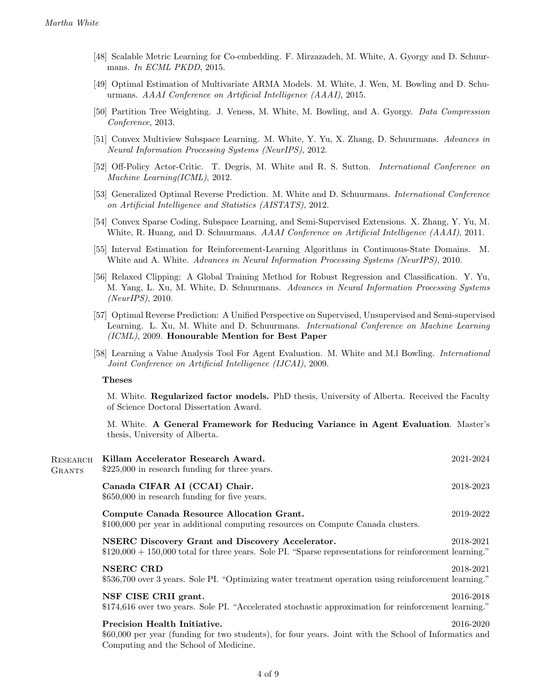- [48] Scalable Metric Learning for Co-embedding. F. Mirzazadeh, M. White, A. Gyorgy and D. Schuurmans. In ECML PKDD, 2015.
- [49] Optimal Estimation of Multivariate ARMA Models. M. White, J. Wen, M. Bowling and D. Schuurmans. AAAI Conference on Artificial Intelligence (AAAI), 2015.
- [50] Partition Tree Weighting. J. Veness, M. White, M. Bowling, and A. Gyorgy. Data Compression Conference, 2013.
- [51] Convex Multiview Subspace Learning. M. White, Y. Yu, X. Zhang, D. Schuurmans. Advances in Neural Information Processing Systems (NeurIPS), 2012.
- [52] Off-Policy Actor-Critic. T. Degris, M. White and R. S. Sutton. *International Conference on* Machine Learning(ICML), 2012.
- [53] Generalized Optimal Reverse Prediction. M. White and D. Schuurmans. International Conference on Artificial Intelligence and Statistics (AISTATS), 2012.
- [54] Convex Sparse Coding, Subspace Learning, and Semi-Supervised Extensions. X. Zhang, Y. Yu, M. White, R. Huang, and D. Schuurmans. AAAI Conference on Artificial Intelligence (AAAI), 2011.
- [55] Interval Estimation for Reinforcement-Learning Algorithms in Continuous-State Domains. M. White and A. White. Advances in Neural Information Processing Systems (NeurIPS), 2010.
- [56] Relaxed Clipping: A Global Training Method for Robust Regression and Classification. Y. Yu, M. Yang, L. Xu, M. White, D. Schuurmans. Advances in Neural Information Processing Systems (NeurIPS), 2010.
- [57] Optimal Reverse Prediction: A Unified Perspective on Supervised, Unsupervised and Semi-supervised Learning. L. Xu, M. White and D. Schuurmans. International Conference on Machine Learning (ICML), 2009. Honourable Mention for Best Paper
- [58] Learning a Value Analysis Tool For Agent Evaluation. M. White and M.l Bowling. International Joint Conference on Artificial Intelligence (IJCAI), 2009.

## Theses

M. White. Regularized factor models. PhD thesis, University of Alberta. Received the Faculty of Science Doctoral Dissertation Award.

M. White. A General Framework for Reducing Variance in Agent Evaluation. Master's thesis, University of Alberta.

| <b>RESEARCH</b><br><b>GRANTS</b> | Killam Accelerator Research Award.<br>\$225,000 in research funding for three years.                                                                                                   | 2021-2024 |
|----------------------------------|----------------------------------------------------------------------------------------------------------------------------------------------------------------------------------------|-----------|
|                                  | Canada CIFAR AI (CCAI) Chair.<br>\$650,000 in research funding for five years.                                                                                                         | 2018-2023 |
|                                  | Compute Canada Resource Allocation Grant.<br>\$100,000 per year in additional computing resources on Compute Canada clusters.                                                          | 2019-2022 |
|                                  | <b>NSERC Discovery Grant and Discovery Accelerator.</b><br>$$120,000 + 150,000$ total for three years. Sole PI. "Sparse representations for reinforcement learning."                   | 2018-2021 |
|                                  | <b>NSERC CRD</b><br>\$536,700 over 3 years. Sole PI. "Optimizing water treatment operation using reinforcement learning."                                                              | 2018-2021 |
|                                  | NSF CISE CRII grant.<br>\$174,616 over two years. Sole PI. "Accelerated stochastic approximation for reinforcement learning."                                                          | 2016-2018 |
|                                  | <b>Precision Health Initiative.</b><br>\$60,000 per year (funding for two students), for four years. Joint with the School of Informatics and<br>Computing and the School of Medicine. | 2016-2020 |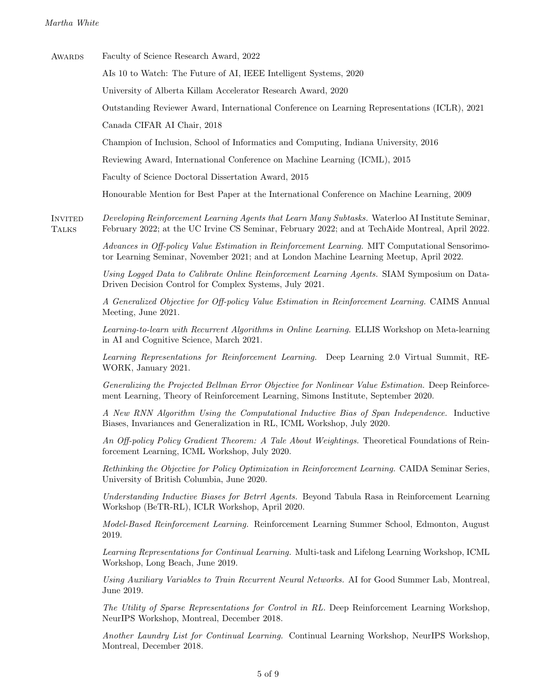Awards Faculty of Science Research Award, 2022 AIs 10 to Watch: The Future of AI, IEEE Intelligent Systems, 2020 University of Alberta Killam Accelerator Research Award, 2020 Outstanding Reviewer Award, International Conference on Learning Representations (ICLR), 2021 Canada CIFAR AI Chair, 2018 Champion of Inclusion, School of Informatics and Computing, Indiana University, 2016 Reviewing Award, International Conference on Machine Learning (ICML), 2015 Faculty of Science Doctoral Dissertation Award, 2015 Honourable Mention for Best Paper at the International Conference on Machine Learning, 2009 **INVITED TALKS** Developing Reinforcement Learning Agents that Learn Many Subtasks. Waterloo AI Institute Seminar, February 2022; at the UC Irvine CS Seminar, February 2022; and at TechAide Montreal, April 2022. Advances in Off-policy Value Estimation in Reinforcement Learning. MIT Computational Sensorimotor Learning Seminar, November 2021; and at London Machine Learning Meetup, April 2022. Using Logged Data to Calibrate Online Reinforcement Learning Agents. SIAM Symposium on Data-Driven Decision Control for Complex Systems, July 2021. A Generalized Objective for Off-policy Value Estimation in Reinforcement Learning. CAIMS Annual Meeting, June 2021. Learning-to-learn with Recurrent Algorithms in Online Learning. ELLIS Workshop on Meta-learning in AI and Cognitive Science, March 2021. Learning Representations for Reinforcement Learning. Deep Learning 2.0 Virtual Summit, RE-WORK, January 2021. Generalizing the Projected Bellman Error Objective for Nonlinear Value Estimation. Deep Reinforcement Learning, Theory of Reinforcement Learning, Simons Institute, September 2020. A New RNN Algorithm Using the Computational Inductive Bias of Span Independence. Inductive Biases, Invariances and Generalization in RL, ICML Workshop, July 2020. An Off-policy Policy Gradient Theorem: A Tale About Weightings. Theoretical Foundations of Reinforcement Learning, ICML Workshop, July 2020. Rethinking the Objective for Policy Optimization in Reinforcement Learning. CAIDA Seminar Series, University of British Columbia, June 2020. Understanding Inductive Biases for Betrrl Agents. Beyond Tabula Rasa in Reinforcement Learning Workshop (BeTR-RL), ICLR Workshop, April 2020. Model-Based Reinforcement Learning. Reinforcement Learning Summer School, Edmonton, August 2019. Learning Representations for Continual Learning. Multi-task and Lifelong Learning Workshop, ICML Workshop, Long Beach, June 2019. Using Auxiliary Variables to Train Recurrent Neural Networks. AI for Good Summer Lab, Montreal, June 2019. The Utility of Sparse Representations for Control in RL. Deep Reinforcement Learning Workshop, NeurIPS Workshop, Montreal, December 2018.

Another Laundry List for Continual Learning. Continual Learning Workshop, NeurIPS Workshop, Montreal, December 2018.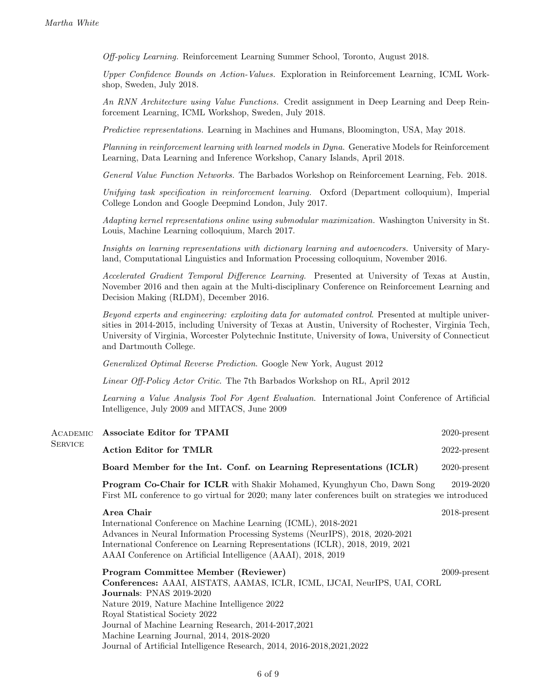Off-policy Learning. Reinforcement Learning Summer School, Toronto, August 2018.

Upper Confidence Bounds on Action-Values. Exploration in Reinforcement Learning, ICML Workshop, Sweden, July 2018.

An RNN Architecture using Value Functions. Credit assignment in Deep Learning and Deep Reinforcement Learning, ICML Workshop, Sweden, July 2018.

Predictive representations. Learning in Machines and Humans, Bloomington, USA, May 2018.

Planning in reinforcement learning with learned models in Dyna. Generative Models for Reinforcement Learning, Data Learning and Inference Workshop, Canary Islands, April 2018.

General Value Function Networks. The Barbados Workshop on Reinforcement Learning, Feb. 2018.

Unifying task specification in reinforcement learning. Oxford (Department colloquium), Imperial College London and Google Deepmind London, July 2017.

Adapting kernel representations online using submodular maximization. Washington University in St. Louis, Machine Learning colloquium, March 2017.

Insights on learning representations with dictionary learning and autoencoders. University of Maryland, Computational Linguistics and Information Processing colloquium, November 2016.

Accelerated Gradient Temporal Difference Learning. Presented at University of Texas at Austin, November 2016 and then again at the Multi-disciplinary Conference on Reinforcement Learning and Decision Making (RLDM), December 2016.

Beyond experts and engineering: exploiting data for automated control. Presented at multiple universities in 2014-2015, including University of Texas at Austin, University of Rochester, Virginia Tech, University of Virginia, Worcester Polytechnic Institute, University of Iowa, University of Connecticut and Dartmouth College.

Generalized Optimal Reverse Prediction. Google New York, August 2012

Linear Off-Policy Actor Critic. The 7th Barbados Workshop on RL, April 2012

Learning a Value Analysis Tool For Agent Evaluation. International Joint Conference of Artificial Intelligence, July 2009 and MITACS, June 2009

| ACADEMIC<br><b>SERVICE</b> | Associate Editor for TPAMI                                                                                                                                                                                                                                                                                     | $2020$ -present |
|----------------------------|----------------------------------------------------------------------------------------------------------------------------------------------------------------------------------------------------------------------------------------------------------------------------------------------------------------|-----------------|
|                            | <b>Action Editor for TMLR</b>                                                                                                                                                                                                                                                                                  | $2022$ -present |
|                            | Board Member for the Int. Conf. on Learning Representations (ICLR)                                                                                                                                                                                                                                             | $2020$ -present |
|                            | <b>Program Co-Chair for ICLR</b> with Shakir Mohamed, Kyunghyun Cho, Dawn Song<br>First ML conference to go virtual for 2020; many later conferences built on strategies we introduced                                                                                                                         | 2019-2020       |
|                            | Area Chair<br>International Conference on Machine Learning (ICML), 2018-2021<br>Advances in Neural Information Processing Systems (NeurIPS), 2018, 2020-2021<br>International Conference on Learning Representations (ICLR), 2018, 2019, 2021<br>AAAI Conference on Artificial Intelligence (AAAI), 2018, 2019 | $2018$ -present |
|                            | Program Committee Member (Reviewer)<br>Conferences: AAAI, AISTATS, AAMAS, ICLR, ICML, IJCAI, NeurIPS, UAI, CORL<br><b>Journals: PNAS 2019-2020</b><br>Nature 2019. Nature Machine Intelligence 2022                                                                                                            | $2009$ -present |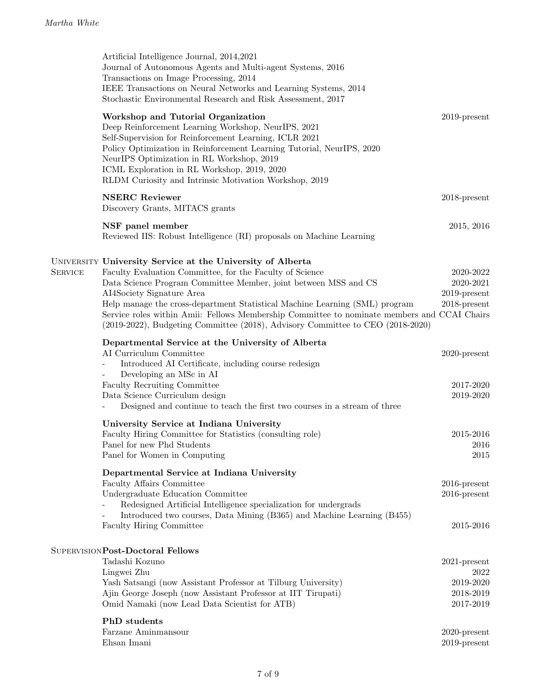|                | Artificial Intelligence Journal, 2014,2021<br>Journal of Autonomous Agents and Multi-agent Systems, 2016<br>Transactions on Image Processing, 2014<br>IEEE Transactions on Neural Networks and Learning Systems, 2014<br>Stochastic Environmental Research and Risk Assessment, 2017                                                                                                                                                                                                   |                                                                |
|----------------|----------------------------------------------------------------------------------------------------------------------------------------------------------------------------------------------------------------------------------------------------------------------------------------------------------------------------------------------------------------------------------------------------------------------------------------------------------------------------------------|----------------------------------------------------------------|
|                | Workshop and Tutorial Organization<br>Deep Reinforcement Learning Workshop, NeurIPS, 2021<br>Self-Supervision for Reinforcement Learning, ICLR 2021<br>Policy Optimization in Reinforcement Learning Tutorial, NeurIPS, 2020<br>NeurIPS Optimization in RL Workshop, 2019<br>ICML Exploration in RL Workshop, 2019, 2020<br>RLDM Curiosity and Intrinsic Motivation Workshop, 2019                                                                                                     | $2019$ -present                                                |
|                | <b>NSERC</b> Reviewer<br>Discovery Grants, MITACS grants                                                                                                                                                                                                                                                                                                                                                                                                                               | $2018$ -present                                                |
|                | NSF panel member<br>Reviewed IIS: Robust Intelligence (RI) proposals on Machine Learning                                                                                                                                                                                                                                                                                                                                                                                               | 2015, 2016                                                     |
| <b>SERVICE</b> | UNIVERSITY University Service at the University of Alberta<br>Faculty Evaluation Committee, for the Faculty of Science<br>Data Science Program Committee Member, joint between MSS and CS<br>AI4Society Signature Area<br>Help manage the cross-department Statistical Machine Learning (SML) program<br>Service roles within Amii: Fellows Membership Committee to nominate members and CCAI Chairs<br>(2019-2022), Budgeting Committee (2018), Advisory Committee to CEO (2018-2020) | 2020-2022<br>2020-2021<br>$2019$ -present<br>$2018$ -present   |
|                | Departmental Service at the University of Alberta<br>AI Curriculum Committee<br>Introduced AI Certificate, including course redesign<br>Developing an MSc in AI<br>Faculty Recruiting Committee<br>Data Science Curriculum design<br>Designed and continue to teach the first two courses in a stream of three                                                                                                                                                                         | $2020$ -present<br>2017-2020<br>2019-2020                      |
|                | University Service at Indiana University<br>Faculty Hiring Committee for Statistics (consulting role)<br>Panel for new Phd Students<br>Panel for Women in Computing                                                                                                                                                                                                                                                                                                                    | 2015-2016<br>2016<br>2015                                      |
|                | Departmental Service at Indiana University<br>Faculty Affairs Committee<br>Undergraduate Education Committee<br>Redesigned Artificial Intelligence specialization for undergrads<br>Introduced two courses, Data Mining (B365) and Machine Learning (B455)<br>Faculty Hiring Committee                                                                                                                                                                                                 | $2016$ -present<br>$2016$ -present<br>2015-2016                |
|                | SUPERVISION Post-Doctoral Fellows<br>Tadashi Kozuno<br>Lingwei Zhu<br>Yash Satsangi (now Assistant Professor at Tilburg University)<br>Ajin George Joseph (now Assistant Professor at IIT Tirupati)<br>Omid Namaki (now Lead Data Scientist for ATB)                                                                                                                                                                                                                                   | $2021$ -present<br>2022<br>2019-2020<br>2018-2019<br>2017-2019 |
|                | PhD students<br>Farzane Aminmansour<br>Ehsan Imani                                                                                                                                                                                                                                                                                                                                                                                                                                     | $2020$ -present<br>$2019$ -present                             |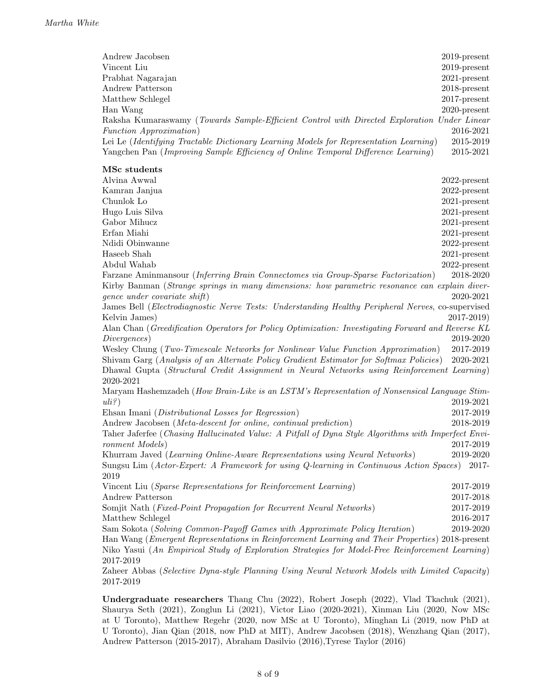| Andrew Jacobsen                                                                             | $2019$ -present |
|---------------------------------------------------------------------------------------------|-----------------|
|                                                                                             |                 |
| Vincent Liu                                                                                 | $2019$ -present |
| Prabhat Nagarajan                                                                           | $2021$ -present |
| Andrew Patterson                                                                            | $2018$ -present |
| Matthew Schlegel                                                                            | $2017$ -present |
| Han Wang                                                                                    | $2020$ -present |
| Raksha Kumaraswamy (Towards Sample-Efficient Control with Directed Exploration Under Linear |                 |
| <i>Function Approximation</i> )                                                             | 2016-2021       |
| Lei Le (Identifying Tractable Dictionary Learning Models for Representation Learning)       | 2015-2019       |
| Yangchen Pan (Improving Sample Efficiency of Online Temporal Difference Learning)           | 2015-2021       |

## MSc students

| Alvina Awwal                                                                                                 | $2022$ -present |
|--------------------------------------------------------------------------------------------------------------|-----------------|
| Kamran Janjua                                                                                                | $2022$ -present |
| Chunlok Lo                                                                                                   | $2021$ -present |
| Hugo Luis Silva                                                                                              | $2021$ -present |
| Gabor Mihucz                                                                                                 | $2021$ -present |
| Erfan Miahi                                                                                                  | $2021$ -present |
| Ndidi Obinwanne                                                                                              | $2022$ -present |
| Haseeb Shah                                                                                                  | $2021$ -present |
| Abdul Wahab                                                                                                  | $2022$ -present |
| Farzane Aminmansour (Inferring Brain Connectomes via Group-Sparse Factorization)                             | 2018-2020       |
| Kirby Banman (Strange springs in many dimensions: how parametric resonance can explain diver-                |                 |
| <i>gence under covariate shift</i> )                                                                         | 2020-2021       |
| James Bell (Electrodiagnostic Nerve Tests: Understanding Healthy Peripheral Nerves, co-supervised            |                 |
| Kelvin James)                                                                                                | 2017-2019)      |
| Alan Chan (Greedification Operators for Policy Optimization: Investigating Forward and Reverse KL            |                 |
| Divergences                                                                                                  | 2019-2020       |
| Wesley Chung (Two-Timescale Networks for Nonlinear Value Function Approximation)                             | 2017-2019       |
| Shivam Garg (Analysis of an Alternate Policy Gradient Estimator for Softmax Policies)                        | $2020 - 2021$   |
| Dhawal Gupta (Structural Credit Assignment in Neural Networks using Reinforcement Learning)                  |                 |
| 2020-2021                                                                                                    |                 |
| Maryam Hashemzadeh (How Brain-Like is an LSTM's Representation of Nonsensical Language Stim-                 |                 |
| uli?                                                                                                         | 2019-2021       |
| Ehsan Imani (Distributional Losses for Regression)                                                           | 2017-2019       |
| Andrew Jacobsen (Meta-descent for online, continual prediction)                                              | 2018-2019       |
| Taher Jaferfee (Chasing Hallucinated Value: A Pitfall of Dyna Style Algorithms with Imperfect Envi-          |                 |
| ronment Models)                                                                                              | 2017-2019       |
| Khurram Javed (Learning Online-Aware Representations using Neural Networks)                                  | 2019-2020       |
| Sungsu Lim (Actor-Expert: A Framework for using Q-learning in Continuous Action Spaces)                      | 2017-           |
| 2019                                                                                                         |                 |
| Vincent Liu (Sparse Representations for Reinforcement Learning)                                              | 2017-2019       |
| Andrew Patterson                                                                                             | 2017-2018       |
| Somjit Nath (Fixed-Point Propagation for Recurrent Neural Networks)                                          | 2017-2019       |
| Matthew Schlegel                                                                                             | 2016-2017       |
| Sam Sokota (Solving Common-Payoff Games with Approximate Policy Iteration)                                   | 2019-2020       |
| Han Wang ( <i>Emergent Representations in Reinforcement Learning and Their Properties</i> ) 2018-present     |                 |
| Niko Yasui (An Empirical Study of Exploration Strategies for Model-Free Reinforcement Learning)<br>2017-2019 |                 |
| Zabeer Abbas (Selective Dung-stule Planning Using Neural Network Models with Limited Capacity)               |                 |

Zaheer Abbas (Selective Dyna-style Planning Using Neural Network Models with Limited Capacity) 2017-2019

Undergraduate researchers Thang Chu (2022), Robert Joseph (2022), Vlad Tkachuk (2021), Shaurya Seth (2021), Zonglun Li (2021), Victor Liao (2020-2021), Xinman Liu (2020, Now MSc at U Toronto), Matthew Regehr (2020, now MSc at U Toronto), Minghan Li (2019, now PhD at U Toronto), Jian Qian (2018, now PhD at MIT), Andrew Jacobsen (2018), Wenzhang Qian (2017), Andrew Patterson (2015-2017), Abraham Dasilvio (2016),Tyrese Taylor (2016)